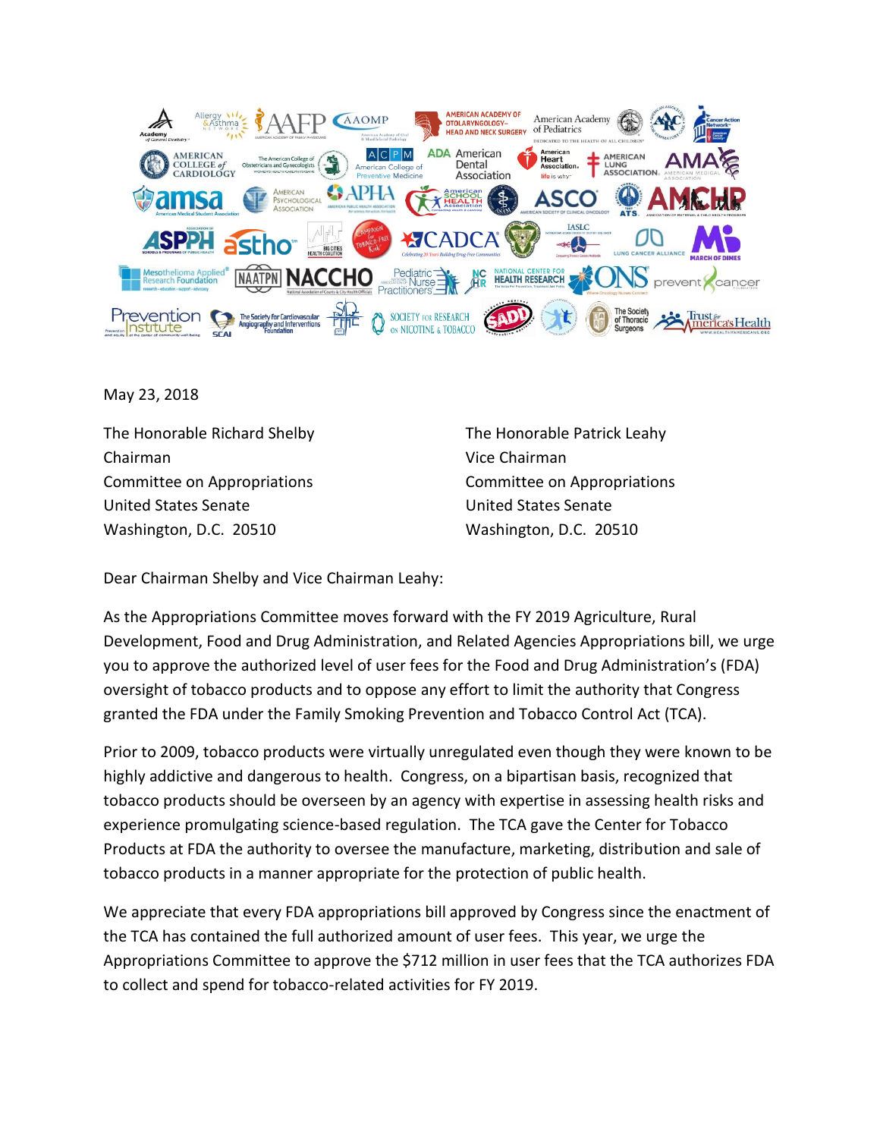

May 23, 2018

The Honorable Richard Shelby The Honorable Patrick Leahy Chairman Vice Chairman Committee on Appropriations Committee on Appropriations United States Senate United States Senate Washington, D.C. 20510 Washington, D.C. 20510

Dear Chairman Shelby and Vice Chairman Leahy:

As the Appropriations Committee moves forward with the FY 2019 Agriculture, Rural Development, Food and Drug Administration, and Related Agencies Appropriations bill, we urge you to approve the authorized level of user fees for the Food and Drug Administration's (FDA) oversight of tobacco products and to oppose any effort to limit the authority that Congress granted the FDA under the Family Smoking Prevention and Tobacco Control Act (TCA).

Prior to 2009, tobacco products were virtually unregulated even though they were known to be highly addictive and dangerous to health. Congress, on a bipartisan basis, recognized that tobacco products should be overseen by an agency with expertise in assessing health risks and experience promulgating science-based regulation. The TCA gave the Center for Tobacco Products at FDA the authority to oversee the manufacture, marketing, distribution and sale of tobacco products in a manner appropriate for the protection of public health.

We appreciate that every FDA appropriations bill approved by Congress since the enactment of the TCA has contained the full authorized amount of user fees. This year, we urge the Appropriations Committee to approve the \$712 million in user fees that the TCA authorizes FDA to collect and spend for tobacco-related activities for FY 2019.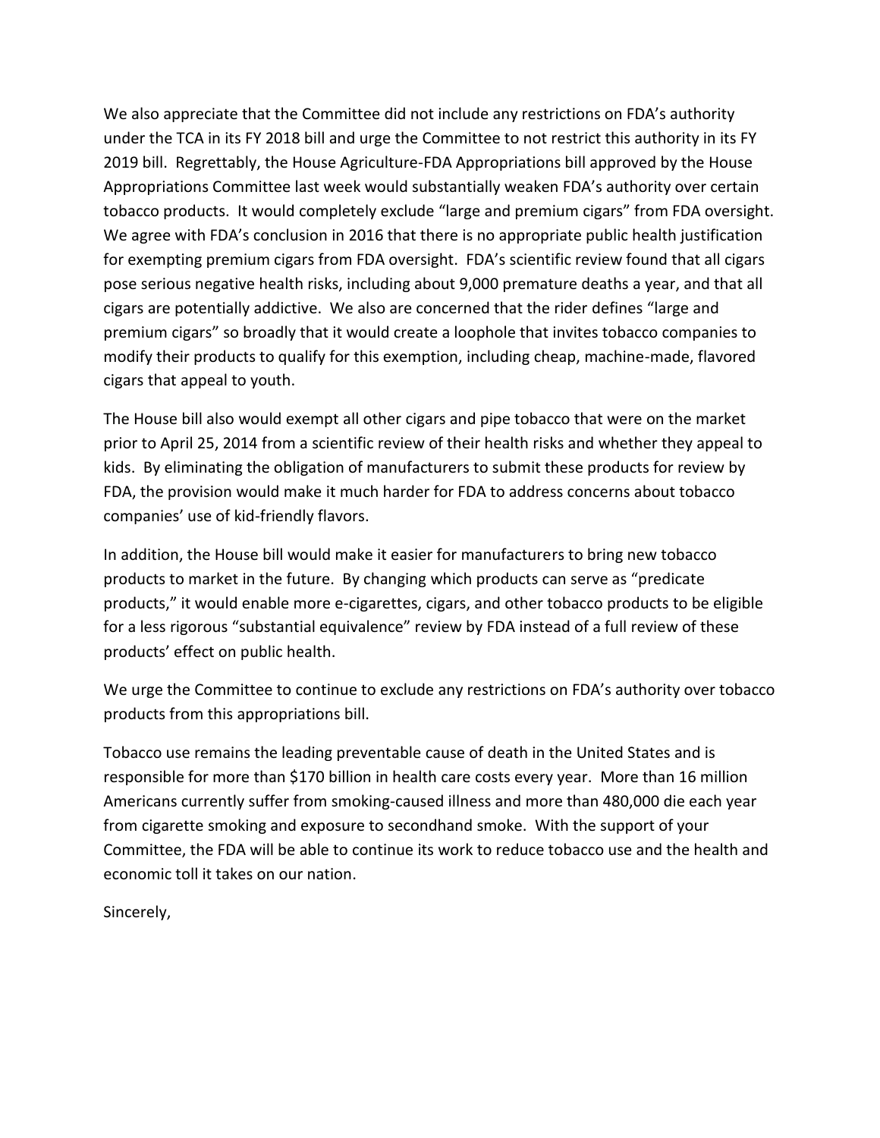We also appreciate that the Committee did not include any restrictions on FDA's authority under the TCA in its FY 2018 bill and urge the Committee to not restrict this authority in its FY 2019 bill. Regrettably, the House Agriculture-FDA Appropriations bill approved by the House Appropriations Committee last week would substantially weaken FDA's authority over certain tobacco products. It would completely exclude "large and premium cigars" from FDA oversight. We agree with FDA's conclusion in 2016 that there is no appropriate public health justification for exempting premium cigars from FDA oversight. FDA's scientific review found that all cigars pose serious negative health risks, including about 9,000 premature deaths a year, and that all cigars are potentially addictive. We also are concerned that the rider defines "large and premium cigars" so broadly that it would create a loophole that invites tobacco companies to modify their products to qualify for this exemption, including cheap, machine-made, flavored cigars that appeal to youth.

The House bill also would exempt all other cigars and pipe tobacco that were on the market prior to April 25, 2014 from a scientific review of their health risks and whether they appeal to kids. By eliminating the obligation of manufacturers to submit these products for review by FDA, the provision would make it much harder for FDA to address concerns about tobacco companies' use of kid-friendly flavors.

In addition, the House bill would make it easier for manufacturers to bring new tobacco products to market in the future. By changing which products can serve as "predicate products," it would enable more e-cigarettes, cigars, and other tobacco products to be eligible for a less rigorous "substantial equivalence" review by FDA instead of a full review of these products' effect on public health.

We urge the Committee to continue to exclude any restrictions on FDA's authority over tobacco products from this appropriations bill.

Tobacco use remains the leading preventable cause of death in the United States and is responsible for more than \$170 billion in health care costs every year. More than 16 million Americans currently suffer from smoking-caused illness and more than 480,000 die each year from cigarette smoking and exposure to secondhand smoke. With the support of your Committee, the FDA will be able to continue its work to reduce tobacco use and the health and economic toll it takes on our nation.

Sincerely,